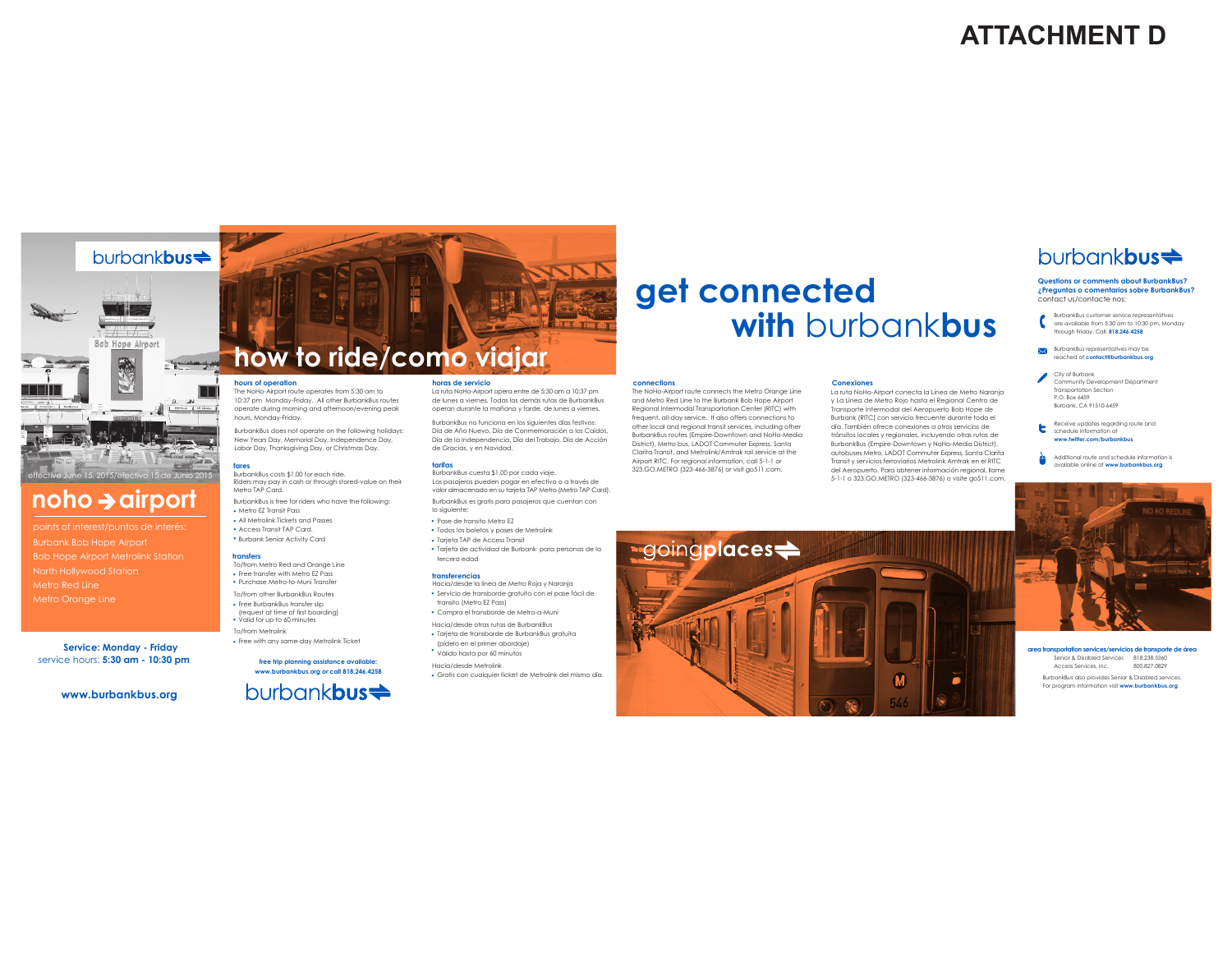# **ATTACHMENT D**





# **noho airport**

points of interest/puntos de interés: Bob Hope Airport Metrolink Station Metro Red Line Metro Orange Line

**Service: Monday - Friday** service hours: **5:30 am - 10:30 pm**

**www.burbankbus.org**

# **how to ride/como viajar**

The NoHo-Airport route operates from 5:30 am to

10:37 pm Monday-Friday. All other BurbankBus routes operate during morning and afternoon/evening peak hours, Monday-Friday.

BurbankBus does not operate on the following holidays: New Years Day, Memorial Day, Independence Day, Labor Day, Thanksgiving Day, or Christmas Day.

#### **fares** BurbankBus costs \$1.00 for each ride.

Metro TAP Card. BurbankBus is free for riders who have the following:

• Metro EZ Transit Pass

• All Metrolink Tickets and Passes • Access Transit TAP Card. Burbank Senior Activity Card •

### **transfers**

• Free transfer with Metro EZ Pass • Purchase Metro-to-Muni Transfer

To/from other BurbankBus Routes • Free BurbankBus transfer slip (request at time of first boarding) Valid for up to 60 minutes • To/from Metrolink

**www.burbankbus.org or call 818.246.4258**

burbank**bus<sup>** $\neq$ **</sup>** 

#### **horas de servicio**

Riders may pay in cash or through stored-value on their

**hours of operation**

To/from Metro Red and Orange Line

• Free with any same-day Metrolink Ticket

**free trip planning assistance available:**

La ruta NoHo-Airport opera entre de 5:30 am a 10:37 pm de lunes a viernes. Todas las demás rutas de BurbankBus operan durante la mañana y tarde, de lunes a viernes. BurbankBus no funciona en los siguientes días festivos: Día de Año Nuevo, Día de Conmemoración a los Caídos, Día de la Independencia, Día del Trabajo, Día de Acción

## **tarifas**

de Gracias, y en Navidad.

BurbankBus cuesta \$1.00 por cada viaje. Los pasajeros pueden pagar en efectivo o a través de valor almacenado en su tarjeta TAP Metro (Metro TAP Card). BurbankBus es gratis para pasajeros que cuentan con

lo siguiente:

• Pase de transito Metro EZ

- Tarjeta TAP de Access Transit • Todos los boletos y pases de Metrolink
- Tarjeta de actividad de Burbank para personas de la tercera edad

## **transferencias**

- Hacia/desde la linea de Metro Roja y Naranja Servicio de transborde gratuito con el pase fácil de • transito (Metro EZ Pass)
- Compra el transborde de Metro-a-Muni •
- Hacia/desde otras rutas de BurbankBus
- Tarjeta de transborde de BurbankBus gratuita (pídelo en el primer abordaje)

Válido hasta por 60 minutos • Hacia/desde Metrolink

• Gratis con cualquier ticket de Metrolink del mismo día

# **get connected with** burbank**bus**

**Conexiones**

La ruta NoHo-Airport conecta la Línea de Metro Naranja y La Línea de Metro Rojo hasta el Regional Centro de Transporte Intermodal del Aeropuerto Bob Hope de Burbank (RITC) con servicio frecuente durante todo el día. También ofrece conexiones a otros servicios de tránsitos locales y regionales, incluyendo otras rutas de BurbankBus (Empire-Downtown y NoHo-Media District), autobuses Metro, LADOT Commuter Express, Santa Clarita Transit y servicios ferroviarios Metrolink Amtrak en el RITC del Aeropuerto. Para obtener información regional, llame 5-1-1 o 323.GO.METRO (323-466-3876) o visite go511.com.

#### **connections**

The NoHo-Airport route connects the Metro Orange Line and Metro Red Line to the Burbank Bob Hope Airport Regional Intermodal Transportation Center (RITC) with frequent, all-day service. It also offers connections to other local and regional transit services, including other BurbankBus routes (Empire-Downtown and NoHo-Media District), Metro bus, LADOT Commuter Express, Santa Clarita Transit, and Metrolink/Amtrak rail service at the Airport RITC. For regional information, call 5-1-1 or 323.GO.METRO (323-466-3876) or visit go511.com.



# burbank**bus<sup>** $\neq$ **</sup>**

## **Questions or comments about BurbankBus? ¿Preguntas o comentarios sobre BurbankBus?** contact us/contacte nos:

- BurbankBus customer service representatives are available from 5:30 am to 10:30 pm, Monday through Friday. Call: **818.246.4258**
- BurbankBus representatives may be reached at **contact@burbankbus.org**
- City of Burbank Community Development Department Transportation Section P.O. Box 6459 Burbank, CA 91510-6459
- Receive updates regarding route and ь schedule information at **www.twitter.com/burbankbus**
- Additional route and schedule information is available online at **www.burbankbus.org**



BurbankBus also provides Senior & Disabled services. For program information visit **www.burbankbus.org area transportation services/servicios de transporte de área** Senior & Disabled Services 818.238.5360 Access Services, Inc. 800.827.0829